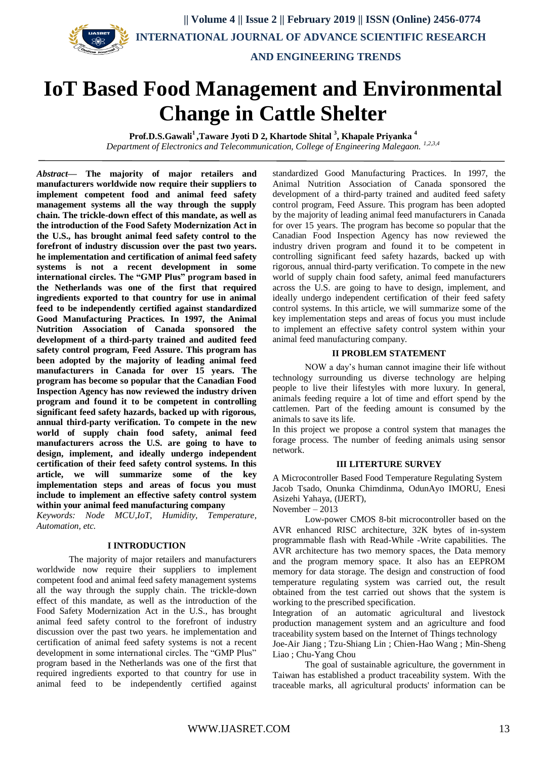

# **IoT Based Food Management and Environmental Change in Cattle Shelter**

**Prof.D.S.Gawali<sup>1</sup> ,Taware Jyoti D 2, Khartode Shital <sup>3</sup> , Khapale Priyanka <sup>4</sup>** Department of Electronics and Telecommunication, College of Engineering Malegaon.<sup>1,2,3,4</sup>

*Abstract***— The majority of major retailers and manufacturers worldwide now require their suppliers to implement competent food and animal feed safety management systems all the way through the supply chain. The trickle-down effect of this mandate, as well as the introduction of the Food Safety Modernization Act in the U.S., has brought animal feed safety control to the forefront of industry discussion over the past two years. he implementation and certification of animal feed safety systems is not a recent development in some international circles. The "GMP Plus" program based in the Netherlands was one of the first that required ingredients exported to that country for use in animal feed to be independently certified against standardized Good Manufacturing Practices. In 1997, the Animal Nutrition Association of Canada sponsored the development of a third-party trained and audited feed safety control program, Feed Assure. This program has been adopted by the majority of leading animal feed manufacturers in Canada for over 15 years. The program has become so popular that the Canadian Food Inspection Agency has now reviewed the industry driven program and found it to be competent in controlling significant feed safety hazards, backed up with rigorous, annual third-party verification. To compete in the new world of supply chain food safety, animal feed manufacturers across the U.S. are going to have to design, implement, and ideally undergo independent certification of their feed safety control systems. In this article, we will summarize some of the key implementation steps and areas of focus you must include to implement an effective safety control system within your animal feed manufacturing company**

*Keywords: Node MCU,IoT, Humidity, Temperature, Automation, etc.*

## **I INTRODUCTION**

The majority of major retailers and manufacturers worldwide now require their suppliers to implement competent food and animal feed safety management systems all the way through the supply chain. The trickle-down effect of this mandate, as well as the introduction of the Food Safety Modernization Act in the U.S., has brought animal feed safety control to the forefront of industry discussion over the past two years. he implementation and certification of animal feed safety systems is not a recent development in some international circles. The "GMP Plus" program based in the Netherlands was one of the first that required ingredients exported to that country for use in animal feed to be independently certified against

standardized Good Manufacturing Practices. In 1997, the Animal Nutrition Association of Canada sponsored the development of a third-party trained and audited feed safety control program, Feed Assure. This program has been adopted by the majority of leading animal feed manufacturers in Canada for over 15 years. The program has become so popular that the Canadian Food Inspection Agency has now reviewed the industry driven program and found it to be competent in controlling significant feed safety hazards, backed up with rigorous, annual third-party verification. To compete in the new world of supply chain food safety, animal feed manufacturers across the U.S. are going to have to design, implement, and ideally undergo independent certification of their feed safety control systems. In this article, we will summarize some of the key implementation steps and areas of focus you must include to implement an effective safety control system within your animal feed manufacturing company.

## **II PROBLEM STATEMENT**

NOW a day's human cannot imagine their life without technology surrounding us diverse technology are helping people to live their lifestyles with more luxury. In general, animals feeding require a lot of time and effort spend by the cattlemen. Part of the feeding amount is consumed by the animals to save its life.

In this project we propose a control system that manages the forage process. The number of feeding animals using sensor network.

#### **III LITERTURE SURVEY**

A Microcontroller Based Food Temperature Regulating System Jacob Tsado, Onunka Chimdinma, OdunAyo IMORU, Enesi Asizehi Yahaya, (IJERT),

November –  $2013$ 

Low-power CMOS 8-bit microcontroller based on the AVR enhanced RISC architecture, 32K bytes of in-system programmable flash with Read-While -Write capabilities. The AVR architecture has two memory spaces, the Data memory and the program memory space. It also has an EEPROM memory for data storage. The design and construction of food temperature regulating system was carried out, the result obtained from the test carried out shows that the system is working to the prescribed specification.

Integration of an automatic agricultural and livestock production management system and an agriculture and food traceability system based on the Internet of Things technology Joe-Air Jiang ; Tzu-Shiang Lin ; Chien-Hao Wang ; Min-Sheng

Liao ; Chu-Yang Chou

The goal of sustainable agriculture, the government in Taiwan has established a product traceability system. With the traceable marks, all agricultural products' information can be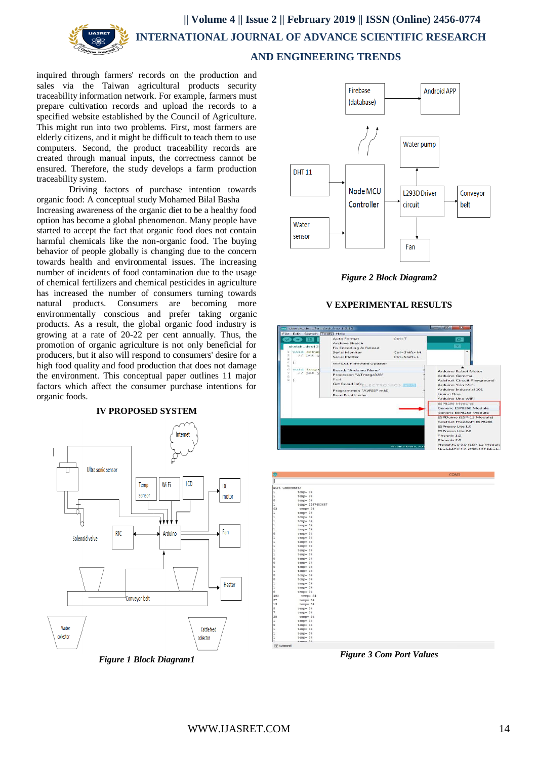

inquired through farmers' records on the production and sales via the Taiwan agricultural products security traceability information network. For example, farmers must prepare cultivation records and upload the records to a specified website established by the Council of Agriculture. This might run into two problems. First, most farmers are elderly citizens, and it might be difficult to teach them to use computers. Second, the product traceability records are created through manual inputs, the correctness cannot be ensured. Therefore, the study develops a farm production traceability system.

Driving factors of purchase intention towards organic food: A conceptual study Mohamed Bilal Basha Increasing awareness of the organic diet to be a healthy food option has become a global phenomenon. Many people have started to accept the fact that organic food does not contain harmful chemicals like the non-organic food. The buying behavior of people globally is changing due to the concern towards health and environmental issues. The increasing number of incidents of food contamination due to the usage of chemical fertilizers and chemical pesticides in agriculture has increased the number of consumers turning towards natural products. Consumers are becoming more environmentally conscious and prefer taking organic products. As a result, the global organic food industry is growing at a rate of 20-22 per cent annually. Thus, the promotion of organic agriculture is not only beneficial for producers, but it also will respond to consumers' desire for a high food quality and food production that does not damage the environment. This conceptual paper outlines 11 major factors which affect the consumer purchase intentions for organic foods.





*Figure 1 Block Diagram1*



*Figure 2 Block Diagram2*

# **V EXPERIMENTAL RESULTS**





*Figure 3 Com Port Values*